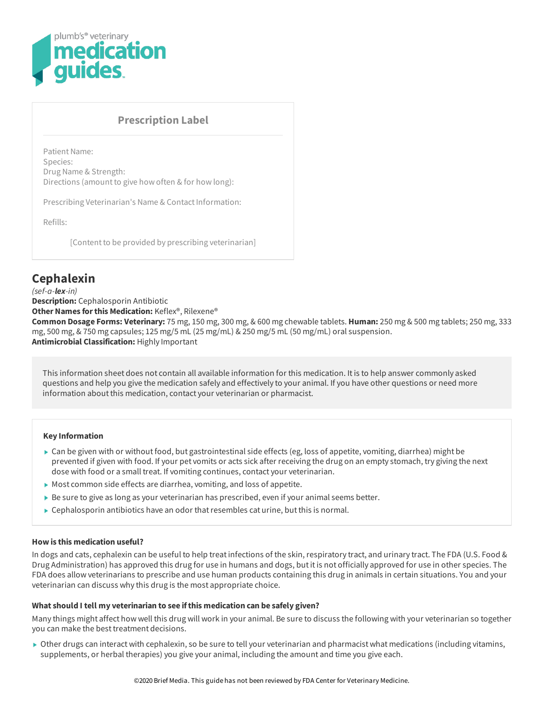

# **Prescription Label**

Patient Name: Species: Drug Name & Strength: Directions (amount to give how often & for how long):

Prescribing Veterinarian's Name & Contact Information:

Refills:

[Content to be provided by prescribing veterinarian]

# **Cephalexin**

*(sef-a-lex-in)* **Description:** Cephalosporin Antibiotic **Other Names forthis Medication:** Keflex®, Rilexene® **Common Dosage Forms: Veterinary:** 75 mg, 150 mg, 300 mg, & 600 mg chewable tablets. **Human:** 250 mg & 500 mg tablets; 250 mg, 333 mg, 500 mg, & 750 mg capsules; 125 mg/5 mL (25 mg/mL) & 250 mg/5 mL (50 mg/mL) oral suspension. **Antimicrobial Classification:** Highly Important

This information sheet does not contain all available information for this medication. Itis to help answer commonly asked questions and help you give the medication safely and effectively to your animal. If you have other questions or need more information about this medication, contact your veterinarian or pharmacist.

#### **Key Information**

- $\triangleright$  Can be given with or without food, but gastrointestinal side effects (eg, loss of appetite, vomiting, diarrhea) might be prevented if given with food. If your pet vomits or acts sick after receiving the drug on an empty stomach, try giving the next dose with food or a small treat. If vomiting continues, contact your veterinarian.
- Most common side effects are diarrhea, vomiting, and loss of appetite.
- Be sure to give as long as your veterinarian has prescribed, even if your animal seems better.
- $\triangleright$  Cephalosporin antibiotics have an odor that resembles cat urine, but this is normal.

# **How is this medication useful?**

In dogs and cats, cephalexin can be useful to help treat infections of the skin, respiratory tract, and urinary tract. The FDA (U.S. Food & Drug Administration) has approved this drug for use in humans and dogs, butitis not officially approved for use in other species. The FDA does allow veterinarians to prescribe and use human products containing this drug in animals in certain situations. You and your veterinarian can discuss why this drug is the most appropriate choice.

#### **What should I tell my veterinarian to see ifthis medication can be safely given?**

Many things might affect how well this drug will work in your animal. Be sure to discuss the following with your veterinarian so together you can make the best treatment decisions.

Other drugs can interact with cephalexin, so be sure to tell your veterinarian and pharmacist what medications (including vitamins, supplements, or herbal therapies) you give your animal, including the amount and time you give each.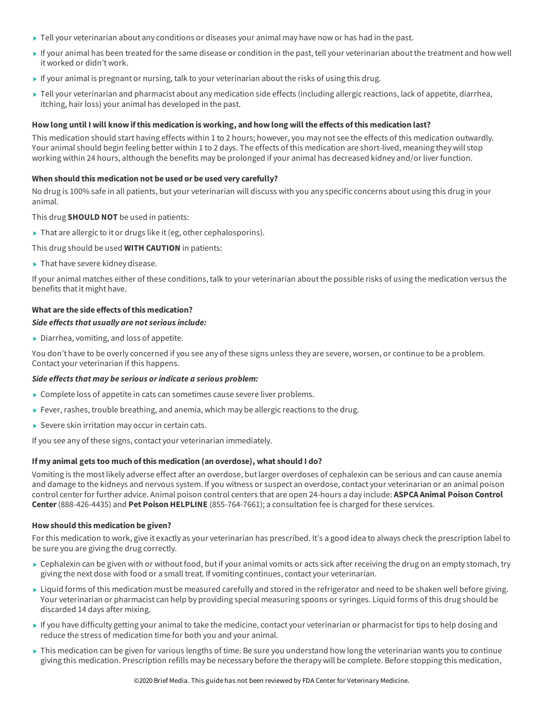- $\triangleright$  Tell your veterinarian about any conditions or diseases your animal may have now or has had in the past.
- If your animal has been treated for the same disease or condition in the past, tell your veterinarian aboutthe treatment and how well it worked or didn't work.
- If your animal is pregnant or nursing, talk to your veterinarian about the risks of using this drug.
- ► Tell your veterinarian and pharmacist about any medication side effects (including allergic reactions, lack of appetite, diarrhea, itching, hair loss) your animal has developed in the past.

## How long until I will know if this medication is working, and how long will the effects of this medication last?

This medication should start having effects within 1 to 2 hours; however, you may not see the effects of this medication outwardly. Your animal should begin feeling better within 1 to 2 days. The effects of this medication are short-lived, meaning they will stop working within 24 hours, although the benefits may be prolonged if your animal has decreased kidney and/or liver function.

# **When should this medication not be used or be used very carefully?**

No drug is 100% safe in all patients, but your veterinarian will discuss with you any specific concerns about using this drug in your animal.

This drug **SHOULD NOT** be used in patients:

- $\blacktriangleright$  That are allergic to it or drugs like it (eg, other cephalosporins).
- This drug should be used **WITH CAUTION** in patients:
- ▶ That have severe kidney disease.

If your animal matches either of these conditions, talk to your veterinarian aboutthe possible risks of using the medication versus the benefits that it might have.

# **What are the side effects ofthis medication?**

#### *Side effects that usually are not serious include:*

Diarrhea, vomiting, and loss of appetite.

You don't have to be overly concerned if you see any of these signs unless they are severe, worsen, or continue to be a problem. Contact your veterinarian if this happens.

#### *Side effects that may be serious orindicate a serious problem:*

- ▶ Complete loss of appetite in cats can sometimes cause severe liver problems.
- Fever, rashes, trouble breathing, and anemia, which may be allergic reactions to the drug.
- Severe skin irritation may occur in certain cats.

If you see any of these signs, contact your veterinarian immediately.

# **If my animal gets too much ofthis medication (an overdose), what should I do?**

Vomiting is the mostlikely adverse effect after an overdose, butlarger overdoses of cephalexin can be serious and can cause anemia and damage to the kidneys and nervous system. If you witness or suspect an overdose, contact your veterinarian or an animal poison control center for further advice. Animal poison control centers that are open 24-hours a day include: **ASPCA Animal Poison Control Center**(888-426-4435) and **Pet Poison HELPLINE** (855-764-7661); a consultation fee is charged for these services.

#### **How should this medication be given?**

For this medication to work, give it exactly as your veterinarian has prescribed. It's a good idea to always check the prescription label to be sure you are giving the drug correctly.

- $\triangleright$  Cephalexin can be given with or without food, but if your animal vomits or acts sick after receiving the drug on an empty stomach, try giving the next dose with food or a small treat. If vomiting continues, contact your veterinarian.
- ► Liquid forms of this medication must be measured carefully and stored in the refrigerator and need to be shaken well before giving. Your veterinarian or pharmacist can help by providing special measuring spoons or syringes. Liquid forms of this drug should be discarded 14 days after mixing.
- If you have difficulty getting your animal to take the medicine, contact your veterinarian or pharmacistfor tips to help dosing and reduce the stress of medication time for both you and your animal.
- ► This medication can be given for various lengths of time. Be sure you understand how long the veterinarian wants you to continue giving this medication. Prescription refills may be necessary before the therapy will be complete. Before stopping this medication,